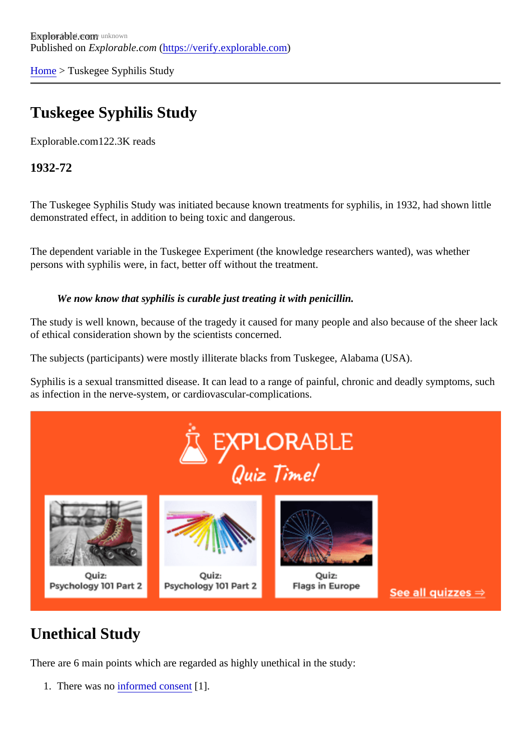[Home](https://verify.explorable.com/)> Tuskegee Syphilis Study

## Tuskegee Syphilis Study

Explorable.com122.3K reads

1932-72

The Tuskegee Syphilis Study was initiated because known treatments for syphilis, in 1932, had shown littl demonstrated effect, in addition to being toxic and dangerous.

The dependent variable in the Tuskegee Experiment (the knowledge researchers wanted), was whether persons with syphilis were, in fact, better off without the treatment.

We now know that syphilis is curable just treating it with penicillin.

The study is well known, because of the tragedy it caused for many people and also because of the sheer of ethical consideration shown by the scientists concerned.

The subjects (participants) were mostly illiterate blacks from Tuskegee, Alabama (USA).

Syphilis is a sexual transmitted disease. It can lead to a range of painful, chronic and deadly symptoms, su as infection in the nerve-system, or cardiovascular-complications.

## Unethical Study

There are 6 main points which are regarded as highly unethical in the study:

1. There was nonformed consent [1].